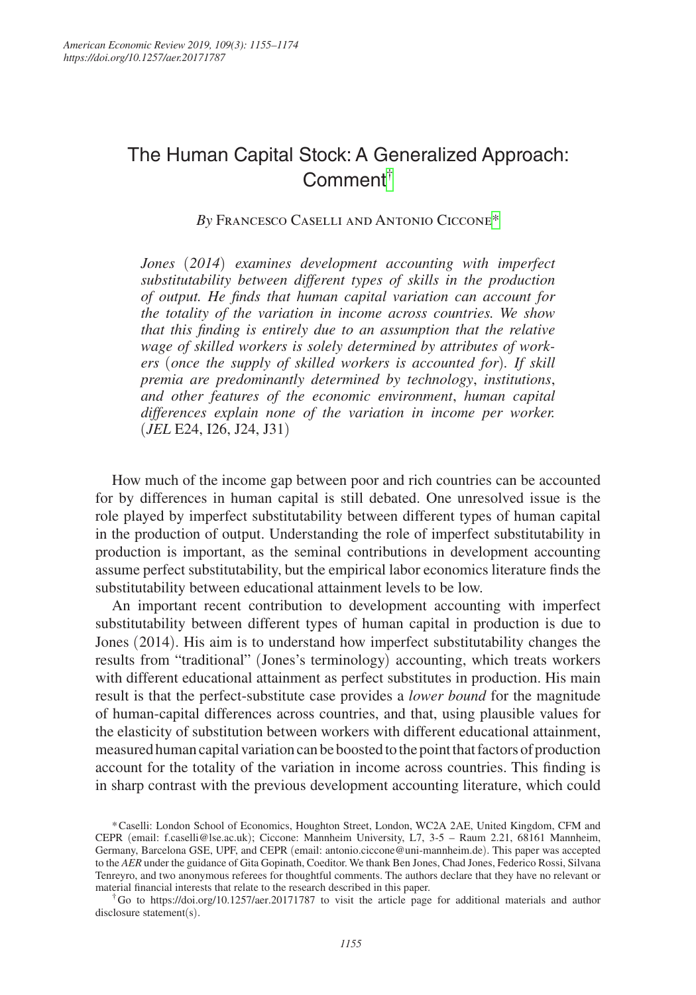# The Human Capital Stock: A Generalized Approach: Comment[†](#page-0-0)

*By* Francesco Caselli and Antonio Ciccon[e\\*](#page-0-1)

*Jones* (*2014*) *examines development accounting with imperfect substitutability between different types of skills in the production of output. He finds that human capital variation can account for the totality of the variation in income across countries. We show that this finding is entirely due to an assumption that the relative wage of skilled workers is solely determined by attributes of workers* (*once the supply of skilled workers is accounted for*)*. If skill premia are predominantly determined by technology*, *institutions*, *and other features of the economic environment*, *human capital differences explain none of the variation in income per worker.*  (*JEL* E24, I26, J24, J31)

How much of the income gap between poor and rich countries can be accounted for by differences in human capital is still debated. One unresolved issue is the role played by imperfect substitutability between different types of human capital in the production of output. Understanding the role of imperfect substitutability in production is important, as the seminal contributions in development accounting assume perfect substitutability, but the empirical labor economics literature finds the substitutability between educational attainment levels to be low.

An important recent contribution to development accounting with imperfect substitutability between different types of human capital in production is due to Jones (2014). His aim is to understand how imperfect substitutability changes the results from "traditional" (Jones's terminology) accounting, which treats workers with different educational attainment as perfect substitutes in production. His main result is that the perfect-substitute case provides a *lower bound* for the magnitude of human-capital differences across countries, and that, using plausible values for the elasticity of substitution between workers with different educational attainment, measured human capital variation can be boosted to the point that factors of production account for the totality of the variation in income across countries. This finding is in sharp contrast with the previous development accounting literature, which could

<span id="page-0-1"></span><sup>\*</sup>Caselli: London School of Economics, Houghton Street, London, WC2A 2AE, United Kingdom, CFM and CEPR (email: [f.caselli@lse.ac.uk](mailto:f.caselli@lse.ac.uk)); Ciccone: Mannheim University, L7, 3-5 – Raum 2.21, 68161 Mannheim, Germany, Barcelona GSE, UPF, and CEPR (email: [antonio.ciccone@uni-mannheim.de](http://antonio.ciccone@uni-mannheim.de)). This paper was accepted to the *AER* under the guidance of Gita Gopinath, Coeditor. We thank Ben Jones, Chad Jones, Federico Rossi, Silvana Tenreyro, and two anonymous referees for thoughtful comments. The authors declare that they have no relevant or material financial interests that relate to the research described in this paper.

<span id="page-0-0"></span><sup>†</sup>Go to <https://doi.org/10.1257/aer.20171787> to visit the article page for additional materials and author disclosure statement(s).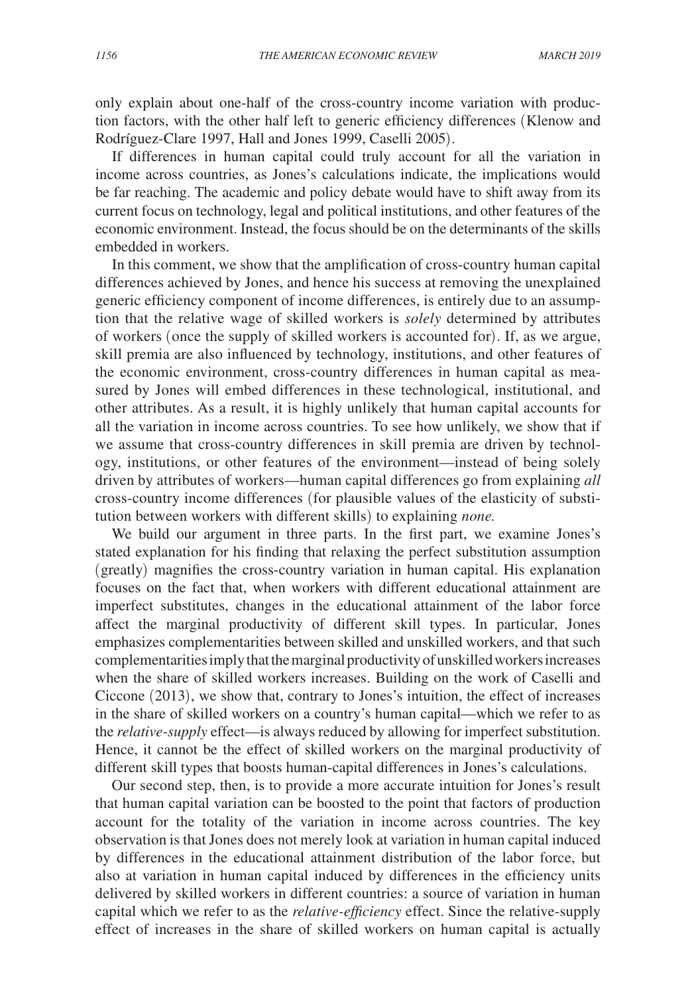only explain about one-half of the cross-country income variation with production factors, with the other half left to generic efficiency differences (Klenow and Rodríguez-Clare 1997, Hall and Jones 1999, Caselli 2005).

If differences in human capital could truly account for all the variation in income across countries, as Jones's calculations indicate, the implications would be far reaching. The academic and policy debate would have to shift away from its current focus on technology, legal and political institutions, and other features of the economic environment. Instead, the focus should be on the determinants of the skills embedded in workers.

In this comment, we show that the amplification of cross-country human capital differences achieved by Jones, and hence his success at removing the unexplained generic efficiency component of income differences, is entirely due to an assumption that the relative wage of skilled workers is *solely* determined by attributes of workers (once the supply of skilled workers is accounted for). If, as we argue, skill premia are also influenced by technology, institutions, and other features of the economic environment, cross-country differences in human capital as measured by Jones will embed differences in these technological, institutional, and other attributes. As a result, it is highly unlikely that human capital accounts for all the variation in income across countries. To see how unlikely, we show that if we assume that cross-country differences in skill premia are driven by technology, institutions, or other features of the environment—instead of being solely driven by attributes of workers—human capital differences go from explaining *all*  cross-country income differences (for plausible values of the elasticity of substitution between workers with different skills) to explaining *none.*

We build our argument in three parts. In the first part, we examine Jones's stated explanation for his finding that relaxing the perfect substitution assumption (greatly) magnifies the cross-country variation in human capital. His explanation focuses on the fact that, when workers with different educational attainment are imperfect substitutes, changes in the educational attainment of the labor force affect the marginal productivity of different skill types. In particular, Jones emphasizes complementarities between skilled and unskilled workers, and that such complementarities imply that the marginal productivity of unskilled workers increases when the share of skilled workers increases. Building on the work of Caselli and Ciccone (2013), we show that, contrary to Jones's intuition, the effect of increases in the share of skilled workers on a country's human capital—which we refer to as the *relative-supply* effect—is always reduced by allowing for imperfect substitution. Hence, it cannot be the effect of skilled workers on the marginal productivity of different skill types that boosts human-capital differences in Jones's calculations.

Our second step, then, is to provide a more accurate intuition for Jones's result that human capital variation can be boosted to the point that factors of production account for the totality of the variation in income across countries. The key observation is that Jones does not merely look at variation in human capital induced by differences in the educational attainment distribution of the labor force, but also at variation in human capital induced by differences in the efficiency units delivered by skilled workers in different countries: a source of variation in human capital which we refer to as the *relative-efficiency* effect. Since the relative-supply effect of increases in the share of skilled workers on human capital is actually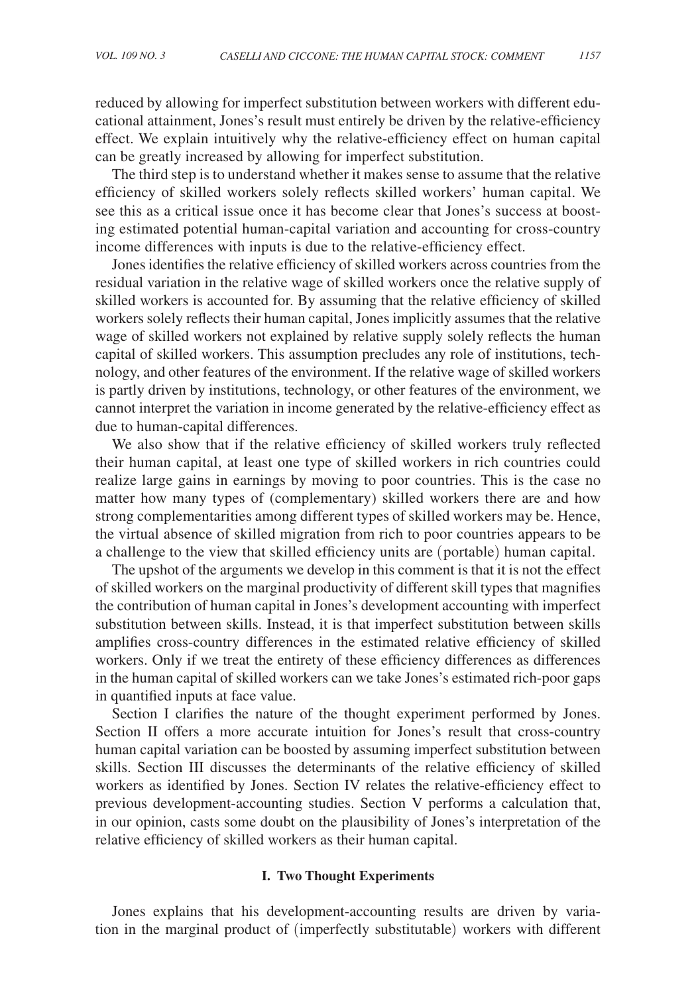reduced by allowing for imperfect substitution between workers with different educational attainment, Jones's result must entirely be driven by the relative-efficiency effect. We explain intuitively why the relative-efficiency effect on human capital can be greatly increased by allowing for imperfect substitution.

The third step is to understand whether it makes sense to assume that the relative efficiency of skilled workers solely reflects skilled workers' human capital. We see this as a critical issue once it has become clear that Jones's success at boosting estimated potential human-capital variation and accounting for cross-country income differences with inputs is due to the relative-efficiency effect.

Jones identifies the relative efficiency of skilled workers across countries from the residual variation in the relative wage of skilled workers once the relative supply of skilled workers is accounted for. By assuming that the relative efficiency of skilled workers solely reflects their human capital, Jones implicitly assumes that the relative wage of skilled workers not explained by relative supply solely reflects the human capital of skilled workers. This assumption precludes any role of institutions, technology, and other features of the environment. If the relative wage of skilled workers is partly driven by institutions, technology, or other features of the environment, we cannot interpret the variation in income generated by the relative-efficiency effect as due to human-capital differences.

We also show that if the relative efficiency of skilled workers truly reflected their human capital, at least one type of skilled workers in rich countries could realize large gains in earnings by moving to poor countries. This is the case no matter how many types of (complementary) skilled workers there are and how strong complementarities among different types of skilled workers may be. Hence, the virtual absence of skilled migration from rich to poor countries appears to be a challenge to the view that skilled efficiency units are (portable) human capital.

The upshot of the arguments we develop in this comment is that it is not the effect of skilled workers on the marginal productivity of different skill types that magnifies the contribution of human capital in Jones's development accounting with imperfect substitution between skills. Instead, it is that imperfect substitution between skills amplifies cross-country differences in the estimated relative efficiency of skilled workers. Only if we treat the entirety of these efficiency differences as differences in the human capital of skilled workers can we take Jones's estimated rich-poor gaps in quantified inputs at face value.

Section I clarifies the nature of the thought experiment performed by Jones. Section II offers a more accurate intuition for Jones's result that cross-country human capital variation can be boosted by assuming imperfect substitution between skills. Section III discusses the determinants of the relative efficiency of skilled workers as identified by Jones. Section IV relates the relative-efficiency effect to previous development-accounting studies. Section V performs a calculation that, in our opinion, casts some doubt on the plausibility of Jones's interpretation of the relative efficiency of skilled workers as their human capital.

### **I. Two Thought Experiments**

Jones explains that his development-accounting results are driven by variation in the marginal product of (imperfectly substitutable) workers with different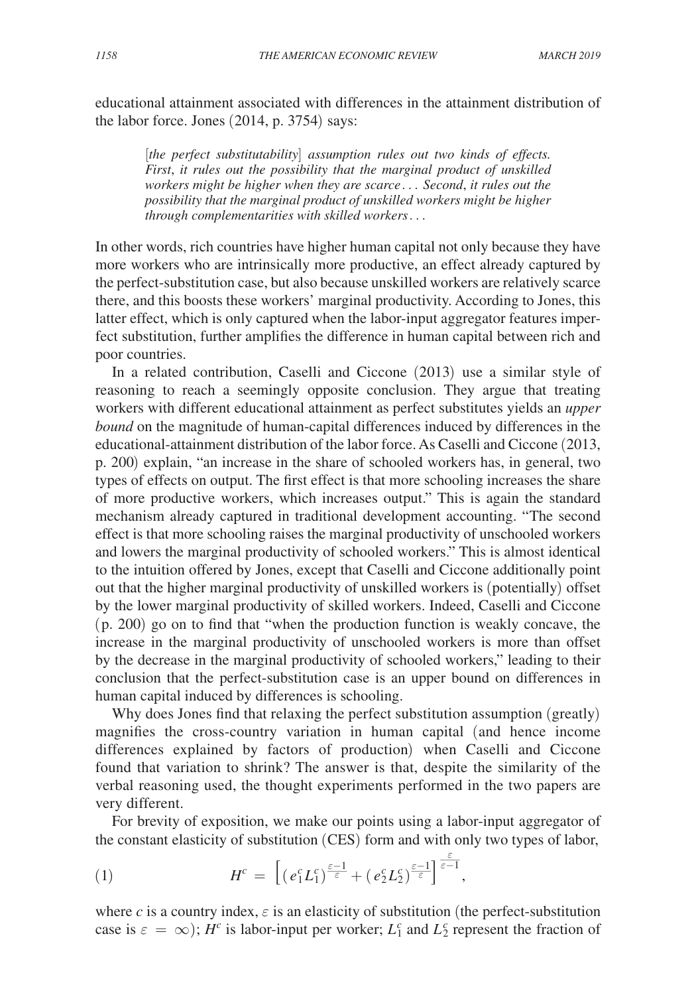educational attainment associated with differences in the attainment distribution of the labor force. Jones (2014, p. 3754) says:

[*the perfect substitutability*] *assumption rules out two kinds of effects. First*, *it rules out the possibility that the marginal product of unskilled workers might be higher when they are scarce*… *Second*, *it rules out the possibility that the marginal product of unskilled workers might be higher through complementarities with skilled workers*…

In other words, rich countries have higher human capital not only because they have more workers who are intrinsically more productive, an effect already captured by the perfect-substitution case, but also because unskilled workers are relatively scarce there, and this boosts these workers' marginal productivity. According to Jones, this latter effect, which is only captured when the labor-input aggregator features imperfect substitution, further amplifies the difference in human capital between rich and poor countries.

In a related contribution, Caselli and Ciccone (2013) use a similar style of reasoning to reach a seemingly opposite conclusion. They argue that treating workers with different educational attainment as perfect substitutes yields an *upper bound* on the magnitude of human-capital differences induced by differences in the educational-attainment distribution of the labor force. As Caselli and Ciccone (2013, p. 200) explain, "an increase in the share of schooled workers has, in general, two types of effects on output. The first effect is that more schooling increases the share of more productive workers, which increases output." This is again the standard mechanism already captured in traditional development accounting. "The second effect is that more schooling raises the marginal productivity of unschooled workers and lowers the marginal productivity of schooled workers." This is almost identical to the intuition offered by Jones, except that Caselli and Ciccone additionally point out that the higher marginal productivity of unskilled workers is (potentially) offset by the lower marginal productivity of skilled workers. Indeed, Caselli and Ciccone (p. 200) go on to find that "when the production function is weakly concave, the increase in the marginal productivity of unschooled workers is more than offset by the decrease in the marginal productivity of schooled workers," leading to their conclusion that the perfect-substitution case is an upper bound on differences in human capital induced by differences is schooling.

Why does Jones find that relaxing the perfect substitution assumption (greatly) magnifies the cross-country variation in human capital (and hence income differences explained by factors of production) when Caselli and Ciccone found that variation to shrink? The answer is that, despite the similarity of the verbal reasoning used, the thought experiments performed in the two papers are very different.

For brevity of exposition, we make our points using a labor-input aggregator of the constant elasticity of substitution (CES) form and with only two types of labor,

(1) 
$$
H^c = \left[ \left( e_1^c L_1^c \right)^{\frac{\varepsilon - 1}{\varepsilon}} + \left( e_2^c L_2^c \right)^{\frac{\varepsilon - 1}{\varepsilon}} \right]^{\frac{\varepsilon}{\varepsilon - 1}},
$$

where *c* is a country index,  $\varepsilon$  is an elasticity of substitution (the perfect-substitution case is  $\varepsilon = \infty$ ); *H<sup>c</sup>* is labor-input per worker;  $L_1^c$  and  $L_2^c$  represent the fraction of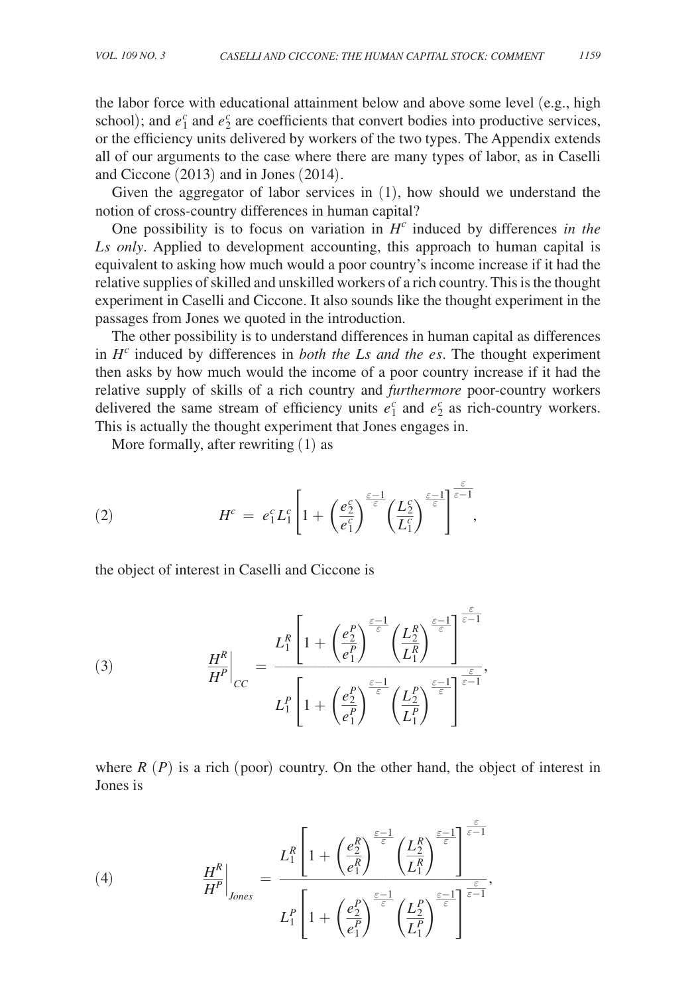the labor force with educational attainment below and above some level (e.g., high school); and  $e_1^c$  and  $e_2^c$  are coefficients that convert bodies into productive services, or the efficiency units delivered by workers of the two types. The Appendix extends all of our arguments to the case where there are many types of labor, as in Caselli and Ciccone (2013) and in Jones (2014).

Given the aggregator of labor services in  $(1)$ , how should we understand the notion of cross-country differences in human capital?

One possibility is to focus on variation in  $H^c$  induced by differences *in the Ls only*. Applied to development accounting, this approach to human capital is equivalent to asking how much would a poor country's income increase if it had the relative supplies of skilled and unskilled workers of a rich country. This is the thought experiment in Caselli and Ciccone. It also sounds like the thought experiment in the passages from Jones we quoted in the introduction.

The other possibility is to understand differences in human capital as differences in *H<sup>c</sup>* induced by differences in *both the Ls and the es*. The thought experiment then asks by how much would the income of a poor country increase if it had the relative supply of skills of a rich country and *furthermore* poor-country workers delivered the same stream of efficiency units  $e_1^c$  and  $e_2^c$  as rich-country workers. This is actually the thought experiment that Jones engages in.

More formally, after rewriting (1) as

(2) 
$$
H^{c} = e_{1}^{c} L_{1}^{c} \left[ 1 + \left( \frac{e_{2}^{c}}{e_{1}^{c}} \right)^{\frac{\varepsilon - 1}{\varepsilon}} \left( \frac{L_{2}^{c}}{L_{1}^{c}} \right)^{\frac{\varepsilon - 1}{\varepsilon}} \right]^{\frac{\varepsilon}{\varepsilon - 1}},
$$

the object of interest in Caselli and Ciccone is

(3) 
$$
\frac{H^R}{H^P}\bigg|_{CC} = \frac{L_1^R \left[1 + \left(\frac{e_2^P}{e_1^P}\right)^{\frac{\varepsilon-1}{\varepsilon}} \left(\frac{L_2^R}{L_1^R}\right)^{\frac{\varepsilon-1}{\varepsilon}}\right]^{\frac{\varepsilon}{\varepsilon-1}}}{L_1^P \left[1 + \left(\frac{e_2^P}{e_1^P}\right)^{\frac{\varepsilon-1}{\varepsilon}} \left(\frac{L_2^P}{L_1^P}\right)^{\frac{\varepsilon-1}{\varepsilon}}\right]^{\frac{\varepsilon}{\varepsilon-1}}},
$$

where  $R(P)$  is a rich (poor) country. On the other hand, the object of interest in Jones is

(4) 
$$
\frac{H^R}{H^P}\Big|_{Jones} = \frac{L_1^R \left[1 + \left(\frac{e_2^R}{e_1^R}\right)^{\frac{\varepsilon-1}{\varepsilon}} \left(\frac{L_2^R}{L_1^R}\right)^{\frac{\varepsilon-1}{\varepsilon}}\right]^{\frac{\varepsilon}{\varepsilon-1}}}{L_1^P \left[1 + \left(\frac{e_2^P}{e_1^P}\right)^{\frac{\varepsilon-1}{\varepsilon}} \left(\frac{L_2^P}{L_1^P}\right)^{\frac{\varepsilon-1}{\varepsilon}}\right]^{\frac{\varepsilon}{\varepsilon-1}}},
$$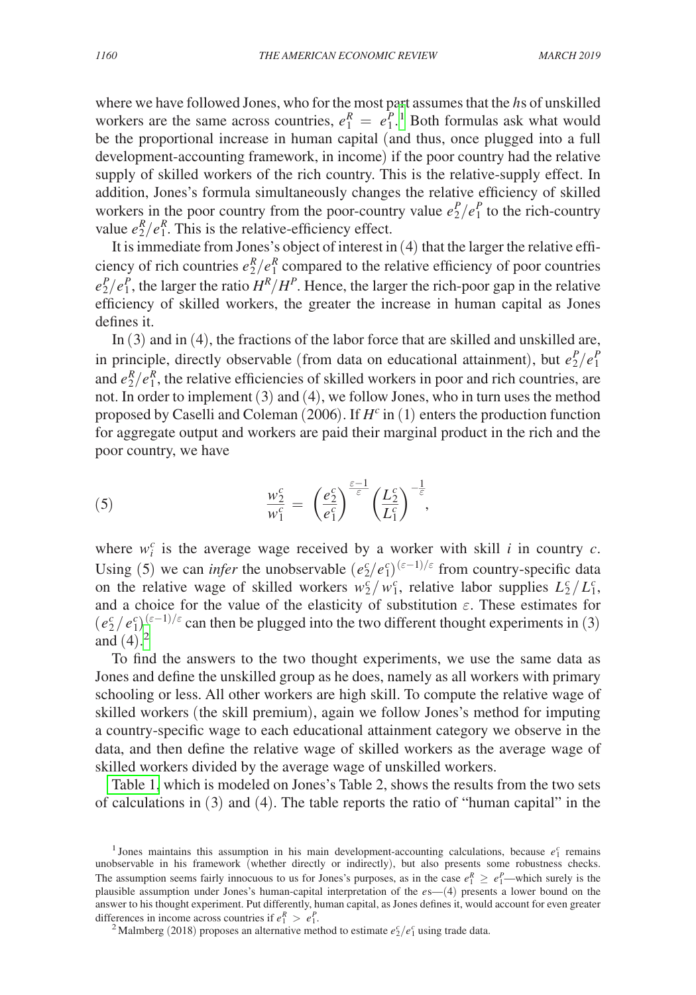where we have followed Jones, who for the most part assumes that the *h*s of unskilled workers are the same across countries,  $e_1^R = e_1^P$  $e_1^R = e_1^P$  $e_1^R = e_1^P$ .<sup>1</sup> Both formulas ask what would be the proportional increase in human capital (and thus, once plugged into a full development-accounting framework, in income) if the poor country had the relative supply of skilled workers of the rich country. This is the relative-supply effect. In addition, Jones's formula simultaneously changes the relative efficiency of skilled workers in the poor country from the poor-country value  $e_2^P/e_1^P$  to the rich-country value  $e_2^R/e_1^R$ . This is the relative-efficiency effect.

It is immediate from Jones's object of interest in (4) that the larger the relative efficiency of rich countries  $e_2^R/e_1^R$  compared to the relative efficiency of poor countries  $e_2^P/e_1^P$ , the larger the ratio  $H^R/H^P$ . Hence, the larger the rich-poor gap in the relative efficiency of skilled workers, the greater the increase in human capital as Jones defines it.

In (3) and in (4), the fractions of the labor force that are skilled and unskilled are, in principle, directly observable (from data on educational attainment), but  $e_2^P/e_1^P$ and  $e_2^R/e_1^R$ , the relative efficiencies of skilled workers in poor and rich countries, are not. In order to implement (3) and (4), we follow Jones, who in turn uses the method proposed by Caselli and Coleman (2006). If *H<sup>c</sup>* in (1) enters the production function for aggregate output and workers are paid their marginal product in the rich and the poor country, we have

(5) 
$$
\frac{w_2^c}{w_1^c} = \left(\frac{e_2^c}{e_1^c}\right)^{\frac{\varepsilon-1}{\varepsilon}} \left(\frac{L_2^c}{L_1^c}\right)^{-\frac{1}{\varepsilon}},
$$

where  $w_i^c$  is the average wage received by a worker with skill *i* in country *c*. Using (5) we can *infer* the unobservable  $(e_2^c/e_1^c)^{(\varepsilon-1)/\varepsilon}$  from country-specific data on the relative wage of skilled workers  $w_2^c / w_1^c$ , relative labor supplies  $L_2^c / L_1^c$ , and a choice for the value of the elasticity of substitution  $\varepsilon$ . These estimates for  $(e_2^c / e_1^c)^{(\epsilon - 1)/\epsilon}$  can then be plugged into the two different thought experiments in (3) and  $(4)$ .<sup>[2](#page-5-1)</sup>

To find the answers to the two thought experiments, we use the same data as Jones and define the unskilled group as he does, namely as all workers with primary schooling or less. All other workers are high skill. To compute the relative wage of skilled workers (the skill premium), again we follow Jones's method for imputing a country-specific wage to each educational attainment category we observe in the data, and then define the relative wage of skilled workers as the average wage of skilled workers divided by the average wage of unskilled workers.

[Table 1,](#page-6-0) which is modeled on Jones's Table 2, shows the results from the two sets of calculations in (3) and (4). The table reports the ratio of "human capital" in the

<span id="page-5-0"></span><sup>&</sup>lt;sup>1</sup> Jones maintains this assumption in his main development-accounting calculations, because  $e_1^c$  remains unobservable in his framework (whether directly or indirectly), but also presents some robustness checks. The assumption seems fairly innocuous to us for Jones's purposes, as in the case  $e_1^R \ge e_1^P$ —which surely is the plausible assumption under Jones's human-capital interpretation of the *e*s—(4) presents a lower bound on the answer to his thought experiment. Put differently, human capital, as Jones defines it, would account for even greater differences in income across countries if  $e_1^R > e_1^P$ *P*. 2Malmberg (2018) proposes an alternative method to estimate  $e_2^c/e_1^c$  using trade data.

<span id="page-5-1"></span>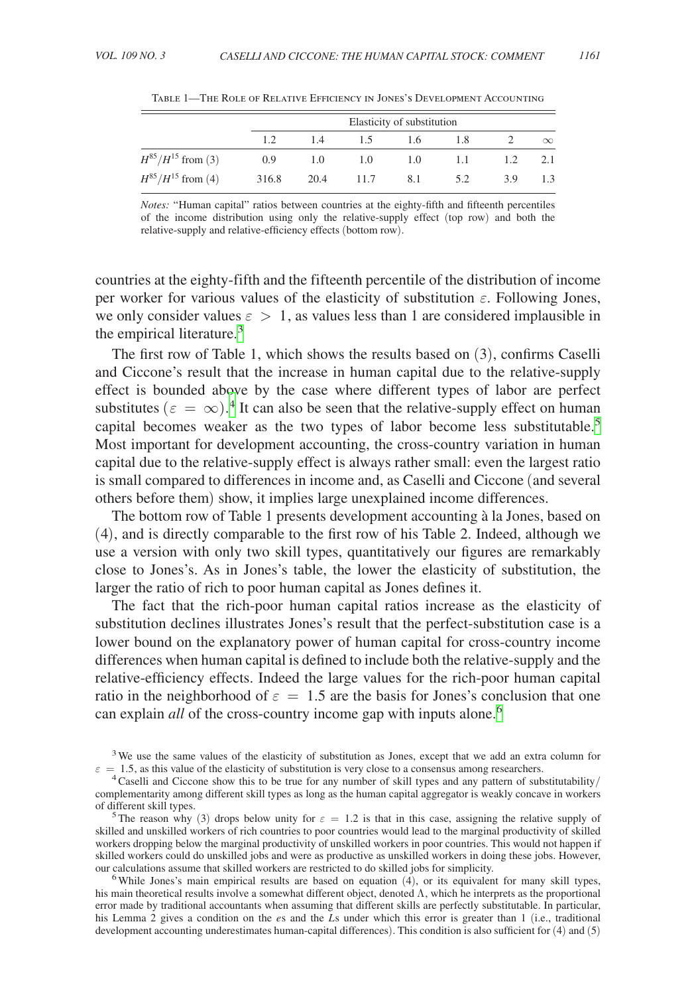|                          | Elasticity of substitution |       |      |     |     |     |  |  |
|--------------------------|----------------------------|-------|------|-----|-----|-----|--|--|
|                          |                            | 1.4   | 1.5  | 1.6 | 1.8 |     |  |  |
| $H^{85}/H^{15}$ from (3) | 0.9                        | 1.0   | 1.0  | 1.0 | 1.1 |     |  |  |
| $H^{85}/H^{15}$ from (4) | 316.8                      | -20.4 | 11.7 | 8.1 | 5.2 | 3.9 |  |  |

<span id="page-6-0"></span>Table 1—The Role of Relative Efficiency in Jones's Development Accounting

*Notes:* "Human capital" ratios between countries at the eighty-fifth and fifteenth percentiles of the income distribution using only the relative-supply effect (top row) and both the relative-supply and relative-efficiency effects (bottom row).

countries at the eighty-fifth and the fifteenth percentile of the distribution of income per worker for various values of the elasticity of substitution  $\varepsilon$ . Following Jones, we only consider values  $\varepsilon > 1$ , as values less than 1 are considered implausible in the empirical literature.<sup>[3](#page-6-1)</sup>

The first row of Table 1, which shows the results based on (3), confirms Caselli and Ciccone's result that the increase in human capital due to the relative-supply effect is bounded above by the case where different types of labor are perfect substitutes  $(\varepsilon = \infty)$ .<sup>[4](#page-6-2)</sup> It can also be seen that the relative-supply effect on human capital becomes weaker as the two types of labor become less substitutable.<sup>[5](#page-6-3)</sup> Most important for development accounting, the cross-country variation in human capital due to the relative-supply effect is always rather small: even the largest ratio is small compared to differences in income and, as Caselli and Ciccone (and several others before them) show, it implies large unexplained income differences.

The bottom row of Table 1 presents development accounting à la Jones, based on (4), and is directly comparable to the first row of his Table 2. Indeed, although we use a version with only two skill types, quantitatively our figures are remarkably close to Jones's. As in Jones's table, the lower the elasticity of substitution, the larger the ratio of rich to poor human capital as Jones defines it.

The fact that the rich-poor human capital ratios increase as the elasticity of substitution declines illustrates Jones's result that the perfect-substitution case is a lower bound on the explanatory power of human capital for cross-country income differences when human capital is defined to include both the relative-supply and the relative-efficiency effects. Indeed the large values for the rich-poor human capital ratio in the neighborhood of  $\varepsilon = 1.5$  are the basis for Jones's conclusion that one can explain *all* of the cross-country income gap with inputs alone.<sup>[6](#page-6-4)</sup>

<span id="page-6-1"></span><sup>3</sup>We use the same values of the elasticity of substitution as Jones, except that we add an extra column for

<span id="page-6-2"></span> $\varepsilon = 1.5$ , as this value of the elasticity of substitution is very close to a consensus among researchers.<br><sup>4</sup>Caselli and Ciccone show this to be true for any number of skill types and any pattern of substitutability/ complementarity among different skill types as long as the human capital aggregator is weakly concave in workers

<span id="page-6-3"></span><sup>&</sup>lt;sup>5</sup>The reason why (3) drops below unity for  $\varepsilon = 1.2$  is that in this case, assigning the relative supply of skilled and unskilled workers of rich countries to poor countries would lead to the marginal productivity of skilled workers dropping below the marginal productivity of unskilled workers in poor countries. This would not happen if skilled workers could do unskilled jobs and were as productive as unskilled workers in doing these jobs. However, our calculations assume that skilled workers are restricted to do skilled jobs for simplicity.

<span id="page-6-4"></span> $6$ While Jones's main empirical results are based on equation  $(4)$ , or its equivalent for many skill types, his main theoretical results involve a somewhat different object, denoted Λ, which he interprets as the proportional error made by traditional accountants when assuming that different skills are perfectly substitutable. In particular, his Lemma 2 gives a condition on the *e*s and the *Ls* under which this error is greater than 1 (i.e., traditional development accounting underestimates human-capital differences). This condition is also sufficient for (4) and (5)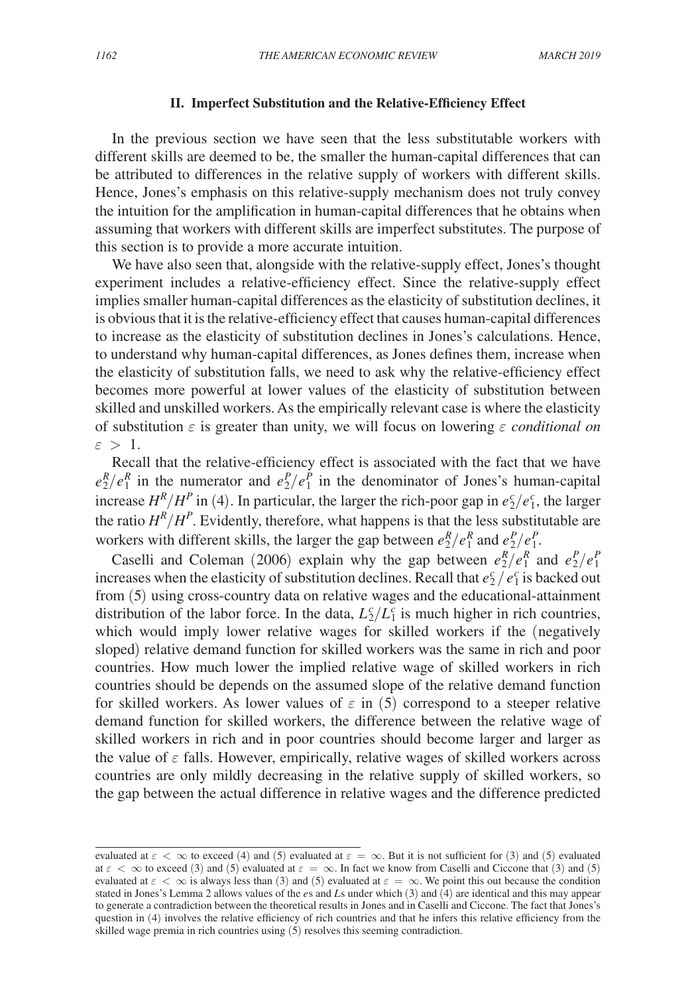# **II. Imperfect Substitution and the Relative-Efficiency Effect**

In the previous section we have seen that the less substitutable workers with different skills are deemed to be, the smaller the human-capital differences that can be attributed to differences in the relative supply of workers with different skills. Hence, Jones's emphasis on this relative-supply mechanism does not truly convey the intuition for the amplification in human-capital differences that he obtains when assuming that workers with different skills are imperfect substitutes. The purpose of this section is to provide a more accurate intuition.

We have also seen that, alongside with the relative-supply effect, Jones's thought experiment includes a relative-efficiency effect. Since the relative-supply effect implies smaller human-capital differences as the elasticity of substitution declines, it is obvious that it is the relative-efficiency effect that causes human-capital differences to increase as the elasticity of substitution declines in Jones's calculations. Hence, to understand why human-capital differences, as Jones defines them, increase when the elasticity of substitution falls, we need to ask why the relative-efficiency effect becomes more powerful at lower values of the elasticity of substitution between skilled and unskilled workers. As the empirically relevant case is where the elasticity of substitution  $\varepsilon$  is greater than unity, we will focus on lowering  $\varepsilon$  *conditional on*  $\varepsilon > 1$ .

Recall that the relative-efficiency effect is associated with the fact that we have  $e_2^P/e_1^R$  in the numerator and  $e_2^P/e_1^P$  in the denominator of Jones's human-capital increase  $H^R/H^P$  in (4). In particular, the larger the rich-poor gap in  $e_2^c/e_1^c$ , the larger the ratio  $H^R/H^P$ . Evidently, therefore, what happens is that the less substitutable are workers with different skills, the larger the gap between  $e_2^R/e_1^R$  and  $e_2^P/e_1^P$ .

Caselli and Coleman (2006) explain why the gap between  $e_2^R/e_1^R$  and  $e_2^P/e_1^P$ increases when the elasticity of substitution declines. Recall that  $e_2^c / e_1^c$  is backed out from (5) using cross-country data on relative wages and the educational-attainment distribution of the labor force. In the data,  $L_2^c/L_1^c$  is much higher in rich countries, which would imply lower relative wages for skilled workers if the (negatively sloped) relative demand function for skilled workers was the same in rich and poor countries. How much lower the implied relative wage of skilled workers in rich countries should be depends on the assumed slope of the relative demand function for skilled workers. As lower values of  $\varepsilon$  in (5) correspond to a steeper relative demand function for skilled workers, the difference between the relative wage of skilled workers in rich and in poor countries should become larger and larger as the value of  $\varepsilon$  falls. However, empirically, relative wages of skilled workers across countries are only mildly decreasing in the relative supply of skilled workers, so the gap between the actual difference in relative wages and the difference predicted

evaluated at  $\varepsilon < \infty$  to exceed (4) and (5) evaluated at  $\varepsilon = \infty$ . But it is not sufficient for (3) and (5) evaluated at  $\varepsilon < \infty$  to exceed (3) and (5) evaluated at  $\varepsilon = \infty$ . In fact we know from Caselli and Ciccone that (3) and (5) evaluated at  $\varepsilon < \infty$  is always less than (3) and (5) evaluated at  $\varepsilon = \infty$ . We point this out because the condition stated in Jones's Lemma 2 allows values of the *e*s and *L*s under which (3) and (4) are identical and this may appear to generate a contradiction between the theoretical results in Jones and in Caselli and Ciccone. The fact that Jones's question in (4) involves the relative efficiency of rich countries and that he infers this relative efficiency from the skilled wage premia in rich countries using (5) resolves this seeming contradiction.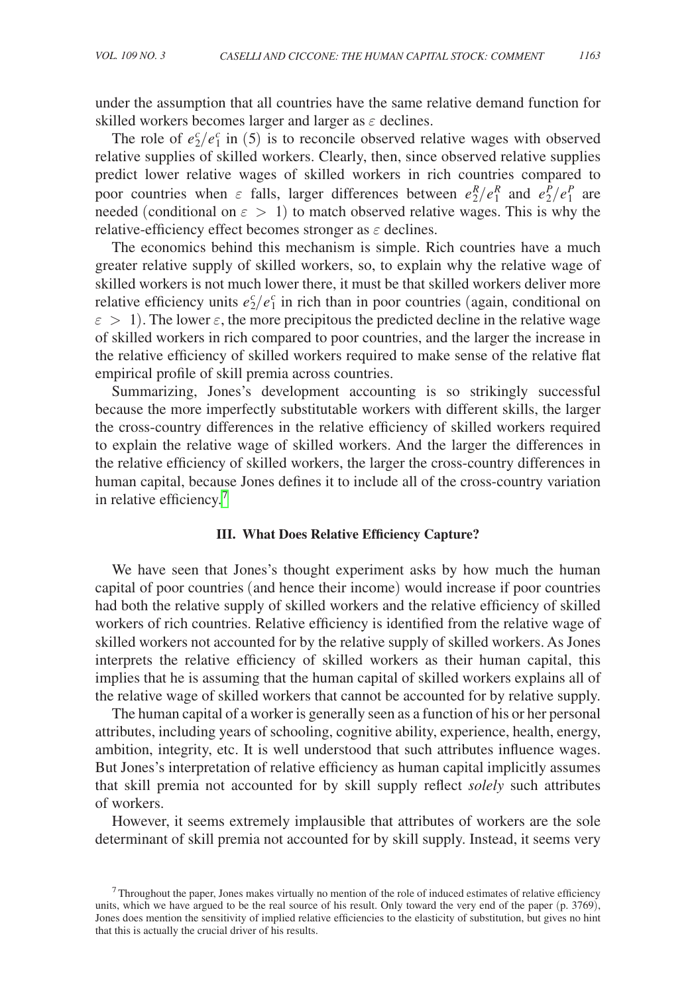under the assumption that all countries have the same relative demand function for skilled workers becomes larger and larger as  $\varepsilon$  declines.

The role of  $e_2^c/e_1^c$  in (5) is to reconcile observed relative wages with observed relative supplies of skilled workers. Clearly, then, since observed relative supplies predict lower relative wages of skilled workers in rich countries compared to poor countries when  $\varepsilon$  falls, larger differences between  $e_2^R/e_1^R$  and  $e_2^P/e_1^P$  are needed (conditional on  $\varepsilon > 1$ ) to match observed relative wages. This is why the relative-efficiency effect becomes stronger as  $\varepsilon$  declines.

The economics behind this mechanism is simple. Rich countries have a much greater relative supply of skilled workers, so, to explain why the relative wage of skilled workers is not much lower there, it must be that skilled workers deliver more relative efficiency units  $e_2^c/e_1^c$  in rich than in poor countries (again, conditional on  $\epsilon > 1$ ). The lower  $\epsilon$ , the more precipitous the predicted decline in the relative wage of skilled workers in rich compared to poor countries, and the larger the increase in the relative efficiency of skilled workers required to make sense of the relative flat empirical profile of skill premia across countries.

Summarizing, Jones's development accounting is so strikingly successful because the more imperfectly substitutable workers with different skills, the larger the cross-country differences in the relative efficiency of skilled workers required to explain the relative wage of skilled workers. And the larger the differences in the relative efficiency of skilled workers, the larger the cross-country differences in human capital, because Jones defines it to include all of the cross-country variation in relative efficiency.<sup>[7](#page-8-0)</sup>

### **III. What Does Relative Efficiency Capture?**

We have seen that Jones's thought experiment asks by how much the human capital of poor countries (and hence their income) would increase if poor countries had both the relative supply of skilled workers and the relative efficiency of skilled workers of rich countries. Relative efficiency is identified from the relative wage of skilled workers not accounted for by the relative supply of skilled workers. As Jones interprets the relative efficiency of skilled workers as their human capital, this implies that he is assuming that the human capital of skilled workers explains all of the relative wage of skilled workers that cannot be accounted for by relative supply.

The human capital of a worker is generally seen as a function of his or her personal attributes, including years of schooling, cognitive ability, experience, health, energy, ambition, integrity, etc. It is well understood that such attributes influence wages. But Jones's interpretation of relative efficiency as human capital implicitly assumes that skill premia not accounted for by skill supply reflect *solely* such attributes of workers.

However, it seems extremely implausible that attributes of workers are the sole determinant of skill premia not accounted for by skill supply. Instead, it seems very

<span id="page-8-0"></span><sup>7</sup>Throughout the paper, Jones makes virtually no mention of the role of induced estimates of relative efficiency units, which we have argued to be the real source of his result. Only toward the very end of the paper (p. 3769), Jones does mention the sensitivity of implied relative efficiencies to the elasticity of substitution, but gives no hint that this is actually the crucial driver of his results.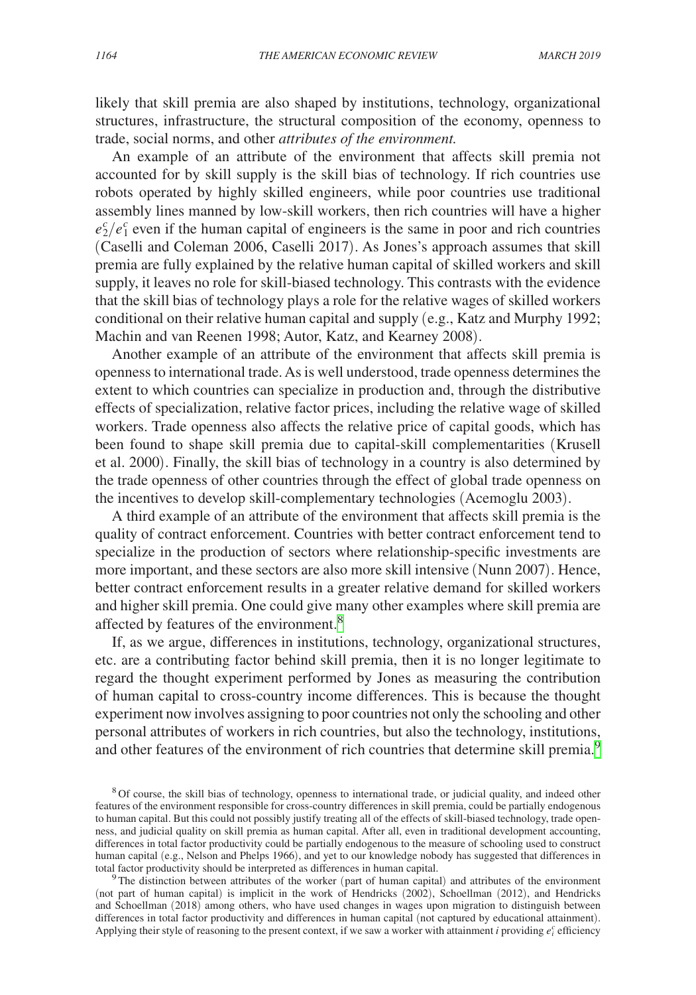likely that skill premia are also shaped by institutions, technology, organizational structures, infrastructure, the structural composition of the economy, openness to trade, social norms, and other *attributes of the environment.*

An example of an attribute of the environment that affects skill premia not accounted for by skill supply is the skill bias of technology. If rich countries use robots operated by highly skilled engineers, while poor countries use traditional assembly lines manned by low-skill workers, then rich countries will have a higher  $e_2^c/e_1^c$  even if the human capital of engineers is the same in poor and rich countries (Caselli and Coleman 2006, Caselli 2017). As Jones's approach assumes that skill premia are fully explained by the relative human capital of skilled workers and skill supply, it leaves no role for skill-biased technology. This contrasts with the evidence that the skill bias of technology plays a role for the relative wages of skilled workers conditional on their relative human capital and supply (e.g., Katz and Murphy 1992; Machin and van Reenen 1998; Autor, Katz, and Kearney 2008).

Another example of an attribute of the environment that affects skill premia is openness to international trade. As is well understood, trade openness determines the extent to which countries can specialize in production and, through the distributive effects of specialization, relative factor prices, including the relative wage of skilled workers. Trade openness also affects the relative price of capital goods, which has been found to shape skill premia due to capital-skill complementarities (Krusell et al. 2000). Finally, the skill bias of technology in a country is also determined by the trade openness of other countries through the effect of global trade openness on the incentives to develop skill-complementary technologies (Acemoglu 2003).

A third example of an attribute of the environment that affects skill premia is the quality of contract enforcement. Countries with better contract enforcement tend to specialize in the production of sectors where relationship-specific investments are more important, and these sectors are also more skill intensive (Nunn 2007). Hence, better contract enforcement results in a greater relative demand for skilled workers and higher skill premia. One could give many other examples where skill premia are affected by features of the environment.<sup>[8](#page-9-0)</sup>

If, as we argue, differences in institutions, technology, organizational structures, etc. are a contributing factor behind skill premia, then it is no longer legitimate to regard the thought experiment performed by Jones as measuring the contribution of human capital to cross-country income differences. This is because the thought experiment now involves assigning to poor countries not only the schooling and other personal attributes of workers in rich countries, but also the technology, institutions, and other features of the environment of rich countries that determine skill premia.<sup>[9](#page-9-1)</sup>

<span id="page-9-0"></span><sup>8</sup>Of course, the skill bias of technology, openness to international trade, or judicial quality, and indeed other features of the environment responsible for cross-country differences in skill premia, could be partially endogenous to human capital. But this could not possibly justify treating all of the effects of skill-biased technology, trade openness, and judicial quality on skill premia as human capital. After all, even in traditional development accounting, differences in total factor productivity could be partially endogenous to the measure of schooling used to construct human capital (e.g., Nelson and Phelps 1966), and yet to our knowledge nobody has suggested that differences in total factor productivity should be interpreted as differences in human capital.

<span id="page-9-1"></span><sup>&</sup>lt;sup>9</sup>The distinction between attributes of the worker (part of human capital) and attributes of the environment (not part of human capital) is implicit in the work of Hendricks  $(2002)$ , Schoellman (2012), and Hendricks and Schoellman (2018) among others, who have used changes in wages upon migration to distinguish between differences in total factor productivity and differences in human capital (not captured by educational attainment). Applying their style of reasoning to the present context, if we saw a worker with attainment *i* providing *ei c* efficiency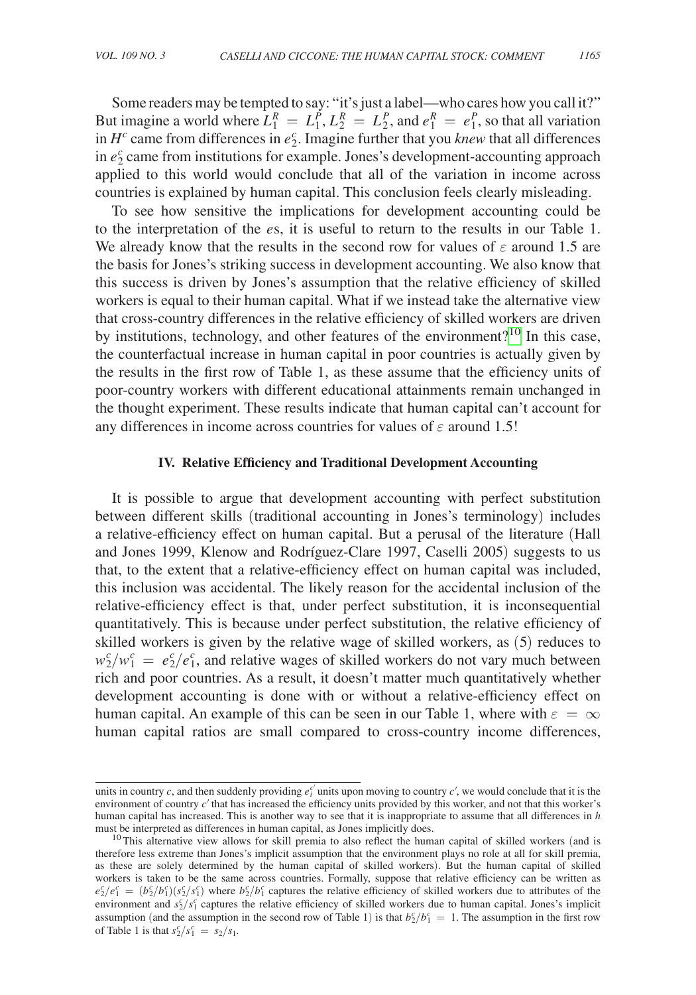Some readers may be tempted to say: "it's just a label—who cares how you call it?" But imagine a world where  $L_1^R = L_1^P$ ,  $L_2^R = L_2^P$ , and  $e_1^R = e_1^P$ , so that all variation in  $H^c$  came from differences in  $e^c$ . Imagine further that you *knew* that all differences in  $e_2^c$  came from institutions for example. Jones's development-accounting approach applied to this world would conclude that all of the variation in income across countries is explained by human capital. This conclusion feels clearly misleading.

To see how sensitive the implications for development accounting could be to the interpretation of the *e*s, it is useful to return to the results in our Table 1. We already know that the results in the second row for values of  $\varepsilon$  around 1.5 are the basis for Jones's striking success in development accounting. We also know that this success is driven by Jones's assumption that the relative efficiency of skilled workers is equal to their human capital. What if we instead take the alternative view that cross-country differences in the relative efficiency of skilled workers are driven by institutions, technology, and other features of the environment?<sup>10</sup> In this case, the counterfactual increase in human capital in poor countries is actually given by the results in the first row of Table 1, as these assume that the efficiency units of poor-country workers with different educational attainments remain unchanged in the thought experiment. These results indicate that human capital can't account for any differences in income across countries for values of  $\varepsilon$  around 1.5!

#### **IV. Relative Efficiency and Traditional Development Accounting**

It is possible to argue that development accounting with perfect substitution between different skills (traditional accounting in Jones's terminology) includes a relative-efficiency effect on human capital. But a perusal of the literature (Hall and Jones 1999, Klenow and Rodríguez-Clare 1997, Caselli 2005) suggests to us that, to the extent that a relative-efficiency effect on human capital was included, this inclusion was accidental. The likely reason for the accidental inclusion of the relative-efficiency effect is that, under perfect substitution, it is inconsequential quantitatively. This is because under perfect substitution, the relative efficiency of skilled workers is given by the relative wage of skilled workers, as (5) reduces to  $w_2^c/w_1^c = e_2^c/e_1^c$ , and relative wages of skilled workers do not vary much between rich and poor countries. As a result, it doesn't matter much quantitatively whether development accounting is done with or without a relative-efficiency effect on human capital. An example of this can be seen in our Table 1, where with  $\varepsilon = \infty$ human capital ratios are small compared to cross-country income differences,

units in country *c*, and then suddenly providing  $e_i^c$  units upon moving to country *c'*, we would conclude that it is the environment of country c' that has increased the efficiency units provided by this worker, and not that this worker's human capital has increased. This is another way to see that it is inappropriate to assume that all differences in *h* must be interpreted as differences in human capital, as Jones implicitly does.<br><sup>10</sup>This alternative view allows for skill premia to also reflect the human capital of skilled workers (and is

<span id="page-10-0"></span>therefore less extreme than Jones's implicit assumption that the environment plays no role at all for skill premia, as these are solely determined by the human capital of skilled workers). But the human capital of skilled workers is taken to be the same across countries. Formally, suppose that relative efficiency can be written as  $e_2^c/e_1^c = (b_2^c/b_1^c)(s_2^c/s_1^c)$  where  $b_2^c/b_1^c$  captures the relative efficiency of skilled workers due to attributes of the environment and  $s_2^c/s_1^c$  captures the relative efficiency of skilled workers due to human capital. Jones's implicit assumption (and the assumption in the second row of Table 1) is that  $b_2^c/b_1^c = 1$ . The assumption in the first row of Table 1 is that  $s_2^c / s_1^c = s_2 / s_1$ .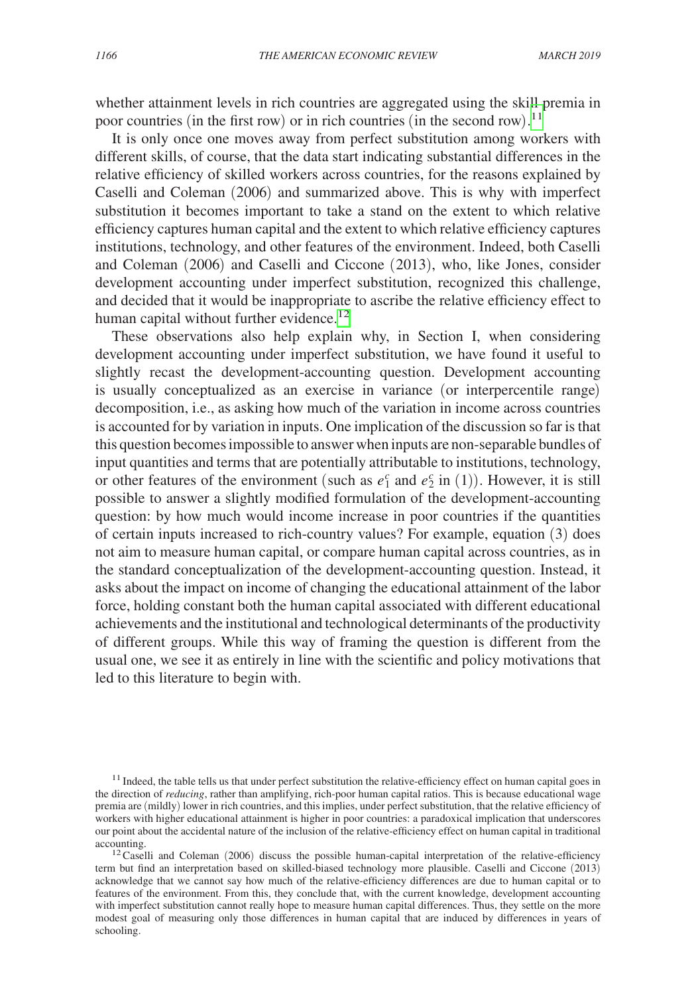whether attainment levels in rich countries are aggregated using the skill premia in poor countries (in the first row) or in rich countries (in the second row).<sup>[11](#page-11-0)</sup>

It is only once one moves away from perfect substitution among workers with different skills, of course, that the data start indicating substantial differences in the relative efficiency of skilled workers across countries, for the reasons explained by Caselli and Coleman (2006) and summarized above. This is why with imperfect substitution it becomes important to take a stand on the extent to which relative efficiency captures human capital and the extent to which relative efficiency captures institutions, technology, and other features of the environment. Indeed, both Caselli and Coleman (2006) and Caselli and Ciccone (2013), who, like Jones, consider development accounting under imperfect substitution, recognized this challenge, and decided that it would be inappropriate to ascribe the relative efficiency effect to human capital without further evidence.<sup>[12](#page-11-1)</sup>

These observations also help explain why, in Section I, when considering development accounting under imperfect substitution, we have found it useful to slightly recast the development-accounting question. Development accounting is usually conceptualized as an exercise in variance (or interpercentile range) decomposition, i.e., as asking how much of the variation in income across countries is accounted for by variation in inputs. One implication of the discussion so far is that this question becomes impossible to answer when inputs are non-separable bundles of input quantities and terms that are potentially attributable to institutions, technology, or other features of the environment (such as  $e_1^c$  and  $e_2^c$  in (1)). However, it is still possible to answer a slightly modified formulation of the development-accounting question: by how much would income increase in poor countries if the quantities of certain inputs increased to rich-country values? For example, equation (3) does not aim to measure human capital, or compare human capital across countries, as in the standard conceptualization of the development-accounting question. Instead, it asks about the impact on income of changing the educational attainment of the labor force, holding constant both the human capital associated with different educational achievements and the institutional and technological determinants of the productivity of different groups. While this way of framing the question is different from the usual one, we see it as entirely in line with the scientific and policy motivations that led to this literature to begin with.

<span id="page-11-0"></span> $11$  Indeed, the table tells us that under perfect substitution the relative-efficiency effect on human capital goes in the direction of *reducing*, rather than amplifying, rich-poor human capital ratios. This is because educational wage premia are (mildly) lower in rich countries, and this implies, under perfect substitution, that the relative efficiency of workers with higher educational attainment is higher in poor countries: a paradoxical implication that underscores our point about the accidental nature of the inclusion of the relative-efficiency effect on human capital in traditional

<span id="page-11-1"></span> $12$  Caselli and Coleman (2006) discuss the possible human-capital interpretation of the relative-efficiency term but find an interpretation based on skilled-biased technology more plausible. Caselli and Ciccone (2013) acknowledge that we cannot say how much of the relative-efficiency differences are due to human capital or to features of the environment. From this, they conclude that, with the current knowledge, development accounting with imperfect substitution cannot really hope to measure human capital differences. Thus, they settle on the more modest goal of measuring only those differences in human capital that are induced by differences in years of schooling.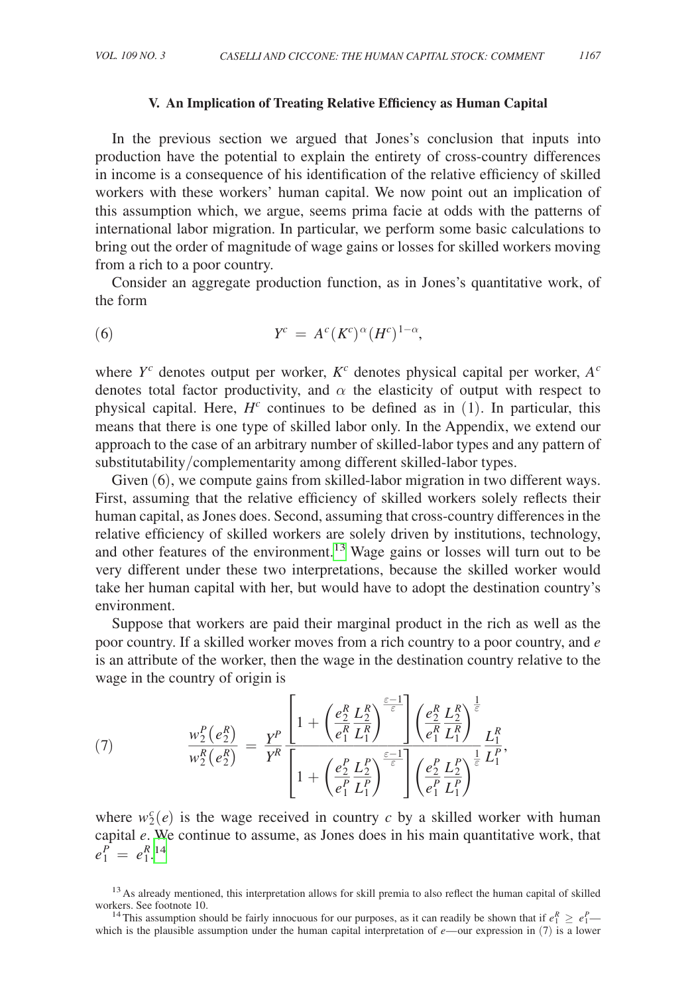# **V. An Implication of Treating Relative Efficiency as Human Capital**

In the previous section we argued that Jones's conclusion that inputs into production have the potential to explain the entirety of cross-country differences in income is a consequence of his identification of the relative efficiency of skilled workers with these workers' human capital. We now point out an implication of this assumption which, we argue, seems prima facie at odds with the patterns of international labor migration. In particular, we perform some basic calculations to bring out the order of magnitude of wage gains or losses for skilled workers moving from a rich to a poor country.

Consider an aggregate production function, as in Jones's quantitative work, of the form

(6) 
$$
Y^c = A^c(K^c)^{\alpha} (H^c)^{1-\alpha},
$$

where  $Y^c$  denotes output per worker,  $K^c$  denotes physical capital per worker,  $A^c$ denotes total factor productivity, and  $\alpha$  the elasticity of output with respect to physical capital. Here,  $H^c$  continues to be defined as in  $(1)$ . In particular, this means that there is one type of skilled labor only. In the Appendix, we extend our approach to the case of an arbitrary number of skilled-labor types and any pattern of substitutability/complementarity among different skilled-labor types.

Given  $(6)$ , we compute gains from skilled-labor migration in two different ways. First, assuming that the relative efficiency of skilled workers solely reflects their human capital, as Jones does. Second, assuming that cross-country differences in the relative efficiency of skilled workers are solely driven by institutions, technology, and other features of the environment.<sup>[13](#page-12-0)</sup> Wage gains or losses will turn out to be very different under these two interpretations, because the skilled worker would take her human capital with her, but would have to adopt the destination country's environment.

Suppose that workers are paid their marginal product in the rich as well as the poor country. If a skilled worker moves from a rich country to a poor country, and *e* is an attribute of the worker, then the wage in the destination country relative to the wage in the country of origin is

(7) 
$$
\frac{w_{2}^{P}(e_{2}^{R})}{w_{2}^{R}(e_{2}^{R})} = \frac{Y^{P}}{Y^{R}} \frac{\left[1 + \left(\frac{e_{2}^{R}}{e_{1}^{R}} \frac{L_{2}^{R}}{L_{1}^{R}}\right)^{\frac{\varepsilon-1}{\varepsilon}}\right] \left(\frac{e_{2}^{R}}{e_{1}^{R}} \frac{L_{2}^{R}}{L_{1}^{R}}\right)^{\frac{1}{\varepsilon}}}{\left[1 + \left(\frac{e_{2}^{P}}{e_{1}^{P}} \frac{L_{2}^{P}}{L_{1}^{P}}\right)^{\frac{\varepsilon-1}{\varepsilon}}\right] \left(\frac{e_{2}^{P}}{e_{1}^{P}} \frac{L_{2}^{P}}{L_{1}^{P}}\right)^{\frac{1}{\varepsilon}} \frac{L_{1}^{R}}{L_{1}^{R}}},
$$

where  $w_2^c(e)$  is the wage received in country *c* by a skilled worker with human capital *e*. We continue to assume, as Jones does in his main quantitative work, that  $e_1^P = e_1^R$ .<sup>[14](#page-12-1)</sup>

<span id="page-12-0"></span> $13$  As already mentioned, this interpretation allows for skill premia to also reflect the human capital of skilled workers. See footnote 10.

<span id="page-12-1"></span>workers. See footnote 10. If  $e_1^R \ge e_1^P$  innocuous for our purposes, as it can readily be shown that if  $e_1^R \ge e_1^P$  which is the plausible assumption under the human capital interpretation of *e*—our expression in (7) is a lower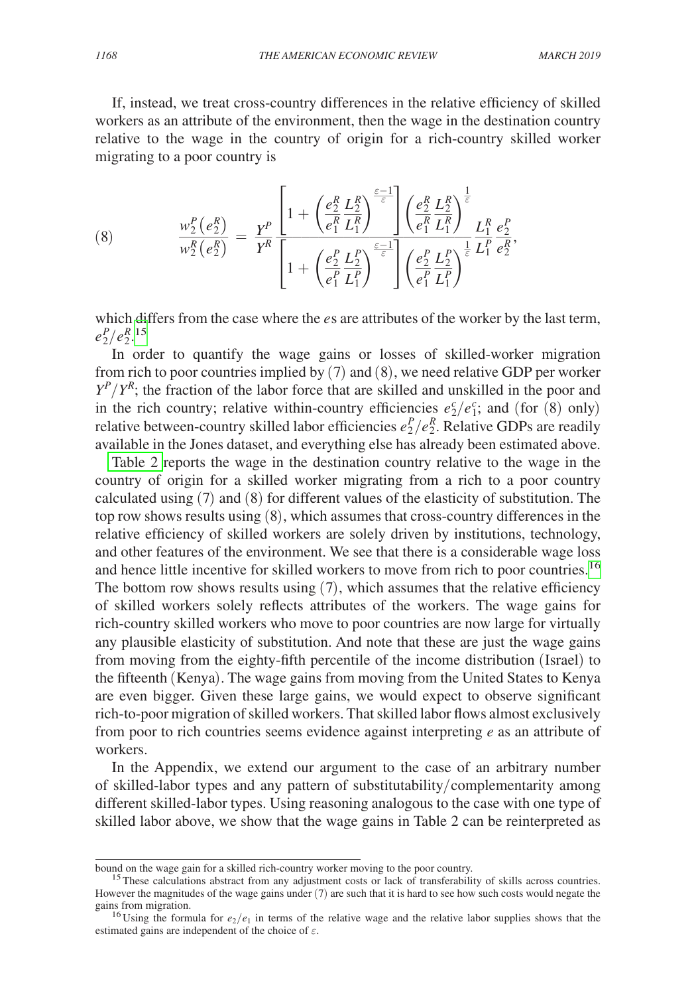If, instead, we treat cross-country differences in the relative efficiency of skilled workers as an attribute of the environment, then the wage in the destination country relative to the wage in the country of origin for a rich-country skilled worker migrating to a poor country is

(8) 
$$
\frac{w_{2}^{P}(e_{2}^{R})}{w_{2}^{R}(e_{2}^{R})} = \frac{Y^{P}}{Y^{R}} \frac{\left[1 + \left(\frac{e_{2}^{R}}{e_{1}^{R}} \frac{L_{1}^{R}}{L_{1}^{R}}\right)^{\frac{\varepsilon-1}{\varepsilon}}\right] \left(\frac{e_{2}^{R}}{e_{1}^{R}} \frac{L_{1}^{R}}{L_{1}^{R}}\right)^{\frac{1}{\varepsilon}}}{\left[1 + \left(\frac{e_{2}^{P}}{e_{1}^{P}} \frac{L_{2}^{P}}{L_{1}^{R}}\right)^{\frac{\varepsilon-1}{\varepsilon}}\right] \left(\frac{e_{2}^{P}}{e_{1}^{P}} \frac{L_{2}^{P}}{L_{1}^{P}}\right)^{\frac{1}{\varepsilon}} \frac{L_{1}^{R}}{L_{1}^{R}} \frac{e_{2}^{P}}{e_{2}^{R}}},
$$

which differs from the case where the *e*s are attributes of the worker by the last term,  $e_2^P/e_2^R$ .<sup>[15](#page-13-0)</sup>

In order to quantify the wage gains or losses of skilled-worker migration from rich to poor countries implied by (7) and (8), we need relative GDP per worker  $Y^P/Y^R$ ; the fraction of the labor force that are skilled and unskilled in the poor and in the rich country; relative within-country efficiencies  $e_2^c/e_1^c$ ; and (for (8) only) relative between-country skilled labor efficiencies  $e_2^P/e_2^R$ . Relative GDPs are readily available in the Jones dataset, and everything else has already been estimated above.

[Table 2](#page-14-0) reports the wage in the destination country relative to the wage in the country of origin for a skilled worker migrating from a rich to a poor country calculated using (7) and (8) for different values of the elasticity of substitution. The top row shows results using (8), which assumes that cross-country differences in the relative efficiency of skilled workers are solely driven by institutions, technology, and other features of the environment. We see that there is a considerable wage loss and hence little incentive for skilled workers to move from rich to poor countries.<sup>16</sup> The bottom row shows results using (7), which assumes that the relative efficiency of skilled workers solely reflects attributes of the workers. The wage gains for rich-country skilled workers who move to poor countries are now large for virtually any plausible elasticity of substitution. And note that these are just the wage gains from moving from the eighty-fifth percentile of the income distribution (Israel) to the fifteenth (Kenya). The wage gains from moving from the United States to Kenya are even bigger. Given these large gains, we would expect to observe significant rich-to-poor migration of skilled workers. That skilled labor flows almost exclusively from poor to rich countries seems evidence against interpreting *e* as an attribute of workers.

In the Appendix, we extend our argument to the case of an arbitrary number of skilled-labor types and any pattern of substitutability/complementarity among different skilled-labor types. Using reasoning analogous to the case with one type of skilled labor above, we show that the wage gains in Table 2 can be reinterpreted as

<span id="page-13-0"></span>

bound on the wage gain for a skilled rich-country worker moving to the poor country.<br><sup>15</sup>These calculations abstract from any adjustment costs or lack of transferability of skills across countries. However the magnitudes of the wage gains under  $(7)$  are such that it is hard to see how such costs would negate the gains from migration.

<span id="page-13-1"></span><sup>&</sup>lt;sup>16</sup>Using the formula for  $e_2/e_1$  in terms of the relative wage and the relative labor supplies shows that the estimated gains are independent of the choice of  $\varepsilon$ .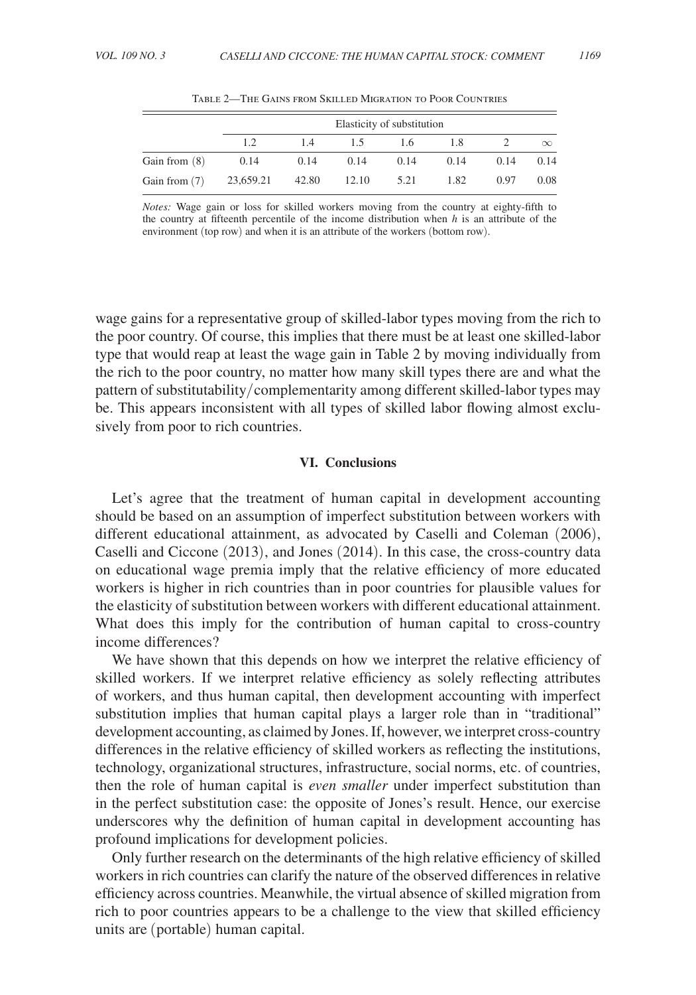<span id="page-14-0"></span>

|                 |           | Elasticity of substitution |       |      |      |      |          |  |
|-----------------|-----------|----------------------------|-------|------|------|------|----------|--|
|                 | 1.2       | 1.4                        | 1.5   | 1.6  | 1.8  |      | $\infty$ |  |
| Gain from $(8)$ | 0.14      | 0.14                       | 0.14  | 0.14 | 0.14 | 0.14 | 0.14     |  |
| Gain from (7)   | 23,659.21 | 42.80                      | 12.10 | 5.21 | 1.82 | 0.97 | 0.08     |  |

Table 2—The Gains from Skilled Migration to Poor Countries

*Notes:* Wage gain or loss for skilled workers moving from the country at eighty-fifth to the country at fifteenth percentile of the income distribution when *h* is an attribute of the environment (top row) and when it is an attribute of the workers (bottom row).

wage gains for a representative group of skilled-labor types moving from the rich to the poor country. Of course, this implies that there must be at least one skilled-labor type that would reap at least the wage gain in Table 2 by moving individually from the rich to the poor country, no matter how many skill types there are and what the pattern of substitutability/complementarity among different skilled-labor types may be. This appears inconsistent with all types of skilled labor flowing almost exclusively from poor to rich countries.

## **VI. Conclusions**

Let's agree that the treatment of human capital in development accounting should be based on an assumption of imperfect substitution between workers with different educational attainment, as advocated by Caselli and Coleman (2006), Caselli and Ciccone (2013), and Jones (2014). In this case, the cross-country data on educational wage premia imply that the relative efficiency of more educated workers is higher in rich countries than in poor countries for plausible values for the elasticity of substitution between workers with different educational attainment. What does this imply for the contribution of human capital to cross-country income differences?

We have shown that this depends on how we interpret the relative efficiency of skilled workers. If we interpret relative efficiency as solely reflecting attributes of workers, and thus human capital, then development accounting with imperfect substitution implies that human capital plays a larger role than in "traditional" development accounting, as claimed by Jones. If, however, we interpret cross-country differences in the relative efficiency of skilled workers as reflecting the institutions, technology, organizational structures, infrastructure, social norms, etc. of countries, then the role of human capital is *even smaller* under imperfect substitution than in the perfect substitution case: the opposite of Jones's result. Hence, our exercise underscores why the definition of human capital in development accounting has profound implications for development policies.

Only further research on the determinants of the high relative efficiency of skilled workers in rich countries can clarify the nature of the observed differences in relative efficiency across countries. Meanwhile, the virtual absence of skilled migration from rich to poor countries appears to be a challenge to the view that skilled efficiency units are (portable) human capital.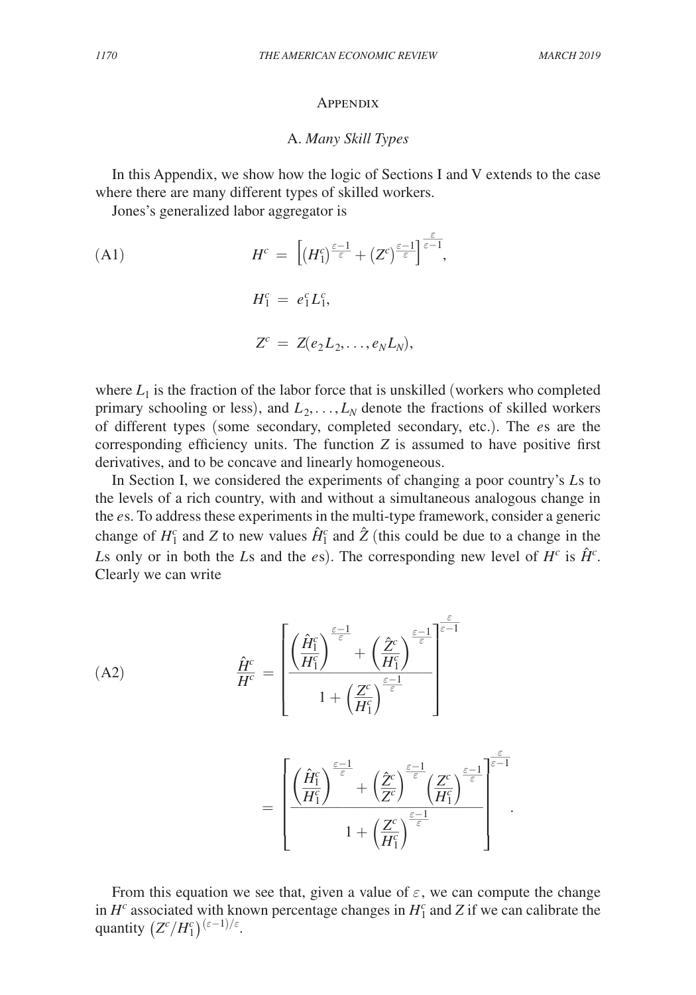### **APPENDIX**

# A. *Many Skill Types*

In this Appendix, we show how the logic of Sections I and V extends to the case where there are many different types of skilled workers.

Jones's generalized labor aggregator is

(A1)  
\n
$$
H^{c} = \left[ (H_{1}^{c})^{\frac{\varepsilon-1}{\varepsilon}} + (Z^{c})^{\frac{\varepsilon-1}{\varepsilon}} \right]^{\frac{\varepsilon}{\varepsilon-1}},
$$
\n
$$
H_{1}^{c} = e_{1}^{c} L_{1}^{c},
$$
\n
$$
Z^{c} = Z(e_{2} L_{2}, \ldots, e_{N} L_{N}),
$$

where  $L_1$  is the fraction of the labor force that is unskilled (workers who completed primary schooling or less), and  $L_2, \ldots, L_N$  denote the fractions of skilled workers of different types (some secondary, completed secondary, etc.). The *e*s are the corresponding efficiency units. The function *Z* is assumed to have positive first derivatives, and to be concave and linearly homogeneous.

In Section I, we considered the experiments of changing a poor country's *L*s to the levels of a rich country, with and without a simultaneous analogous change in the *e*s. To address these experiments in the multi-type framework, consider a generic change of  $H_1^c$  and *Z* to new values  $\hat{H}_1^c$  and  $\hat{Z}$  (this could be due to a change in the *Ls* only or in both the *Ls* and the *es*). The corresponding new level of  $H^c$  is  $\hat{H}^c$ . Clearly we can write

(A2) 
$$
\frac{\hat{H}^c}{H^c} = \left[ \frac{\left(\frac{\hat{H}_1^c}{H_1^c}\right)^{\frac{\varepsilon-1}{\varepsilon}} + \left(\frac{\hat{Z}^c}{H_1^c}\right)^{\frac{\varepsilon-1}{\varepsilon}}}{1 + \left(\frac{Z^c}{H_1^c}\right)^{\frac{\varepsilon-1}{\varepsilon}}} \right]^{\frac{\varepsilon}{\varepsilon-1}}
$$

$$
= \left[\frac{\left(\frac{\hat{H}_{1}^{c}}{H_{1}^{c}}\right)^{\frac{\varepsilon-1}{\varepsilon}} + \left(\frac{\hat{Z}^{c}}{Z^{c}}\right)^{\frac{\varepsilon-1}{\varepsilon}}\!\!\!\left(\frac{Z^{c}}{H_{1}^{c}}\right)^{\frac{\varepsilon-1}{\varepsilon}}}{1+\left(\frac{Z^{c}}{H_{1}^{c}}\right)^{\frac{\varepsilon-1}{\varepsilon}}}\right]^{\frac{\varepsilon}{\varepsilon-1}} .
$$

From this equation we see that, given a value of  $\varepsilon$ , we can compute the change in  $H^c$  associated with known percentage changes in  $H_1^c$  and *Z* if we can calibrate the quantity  $(Z^c/H_1^c)^{(\varepsilon-1)/\varepsilon}$ .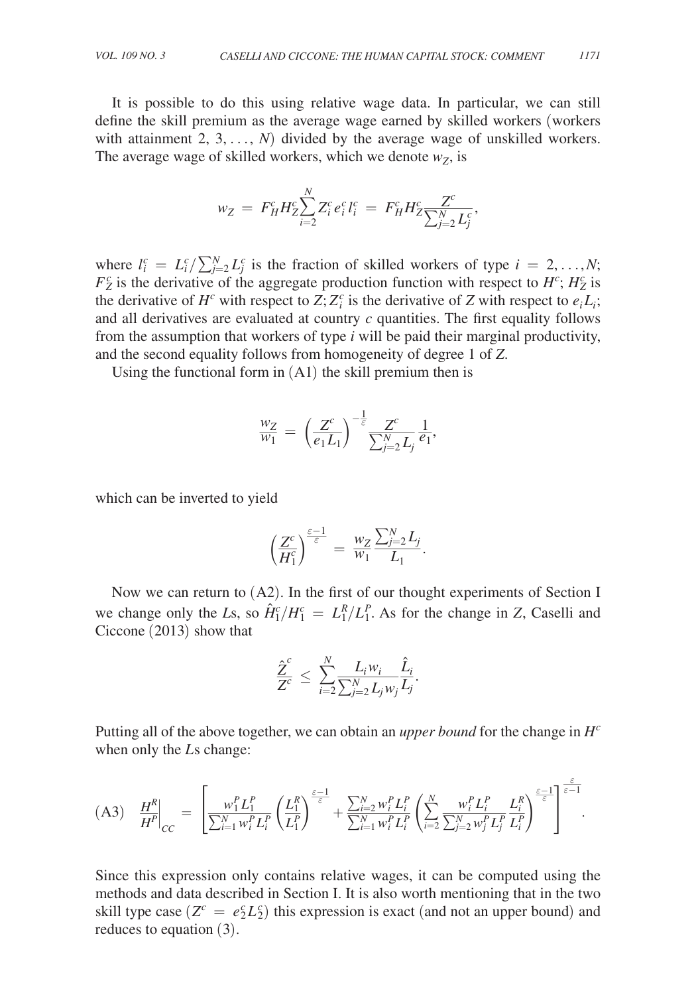It is possible to do this using relative wage data. In particular, we can still define the skill premium as the average wage earned by skilled workers (workers with attainment 2,  $3, \ldots, N$  divided by the average wage of unskilled workers. The average wage of skilled workers, which we denote  $w_Z$ , is

$$
w_Z = F_H H_Z \sum_{i=2}^N Z_i^c e_i^c l_i^c = F_H H_Z \frac{Z^c}{\sum_{j=2}^N L_j^c},
$$

where  $l_i^c = L_i^c / \sum_{j=2}^N L_j^c$  is the fraction of skilled workers of type  $i = 2, ..., N$ ;  $F_Z^c$  is the derivative of the aggregate production function with respect to  $H_c^c$ ;  $H_Z^c$  is the derivative of  $H^c$  with respect to  $Z$ ;  $Z_i^c$  is the derivative of  $Z$  with respect to  $e_i L_i$ ; and all derivatives are evaluated at country *c* quantities. The first equality follows from the assumption that workers of type *i* will be paid their marginal productivity, and the second equality follows from homogeneity of degree 1 of *Z*.

Using the functional form in (A1) the skill premium then is

$$
\frac{w_Z}{w_1} = \left(\frac{Z^c}{e_1 L_1}\right)^{-\frac{1}{\varepsilon}} \frac{Z^c}{\sum_{j=2}^N L_j} \frac{1}{e_1},
$$

which can be inverted to yield

$$
\left(\frac{Z^c}{H_1^c}\right)^{\frac{\varepsilon-1}{\varepsilon}} = \frac{w_Z}{w_1} \frac{\sum_{j=2}^N L_j}{L_1}.
$$

Now we can return to (A2). In the first of our thought experiments of Section I we change only the *Ls*, so  $\hat{H}^c_1/H^c_1 = L^R_1/L^P_1$ . As for the change in *Z*, Caselli and Ciccone (2013) show that

We change only the LS, so 
$$
H_1/H_1 = L_1/L_1
$$
. As for  
\nCiccone (2013) show that\n
$$
\frac{\hat{Z}^c}{Z^c} \le \sum_{i=2}^N \frac{L_i w_i}{\sum_{j=2}^N L_j w_j} \frac{\hat{L}_i}{L_j}.
$$

Putting all of the above together, we can obtain an *upper bound* for the change in *H<sup>c</sup>* when only the *L*s change:

when only the *L*s change:  
\n(A3) 
$$
\frac{H^R}{H^P}\Big|_{CC} = \left[ \frac{w_1^P L_1^P}{\sum_{i=1}^N w_i^P L_i^P} \left( \frac{L_1^R}{L_1^P} \right)^{\frac{\varepsilon-1}{\varepsilon}} + \frac{\sum_{i=2}^N w_i^P L_i^P}{\sum_{i=1}^N w_i^P L_i^P} \left( \sum_{i=2}^N \frac{w_i^P L_i^P}{\sum_{j=2}^N w_j^P L_j^P} \frac{L_i^R}{L_i^P} \right)^{\frac{\varepsilon-1}{\varepsilon}} \right]^{\frac{\varepsilon}{\varepsilon-1}}.
$$

Since this expression only contains relative wages, it can be computed using the methods and data described in Section I. It is also worth mentioning that in the two skill type case  $(Z^c = e_2^c L_2^c)$  this expression is exact (and not an upper bound) and reduces to equation (3).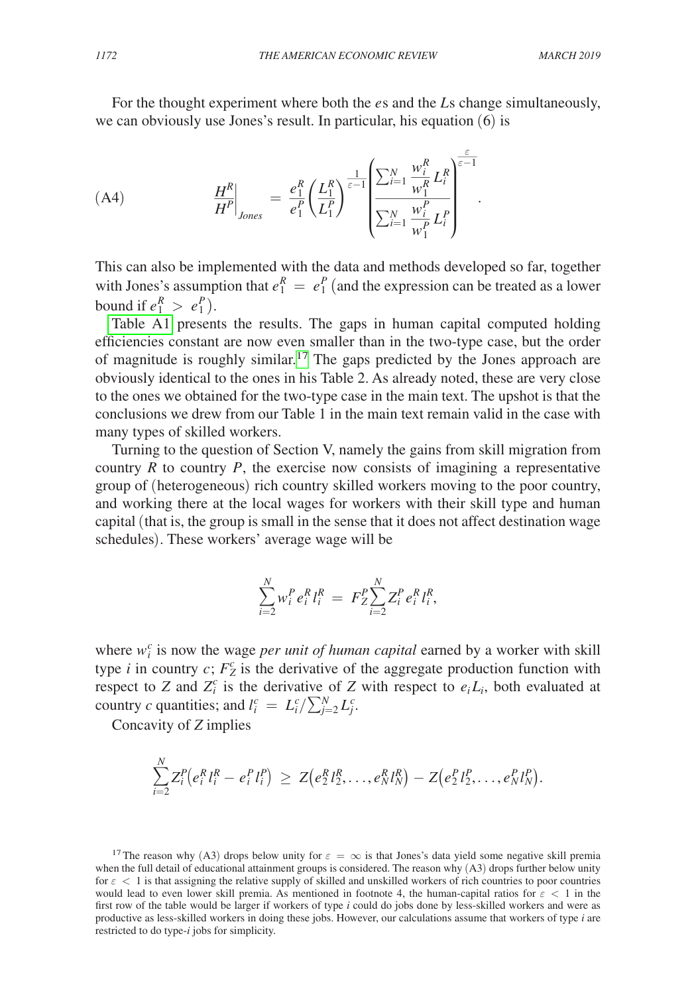.

For the thought experiment where both the *e*s and the *L*s change simultaneously, we can obviously use Jones's result. In particular, his equation (6) is

(A4) 
$$
\frac{H^R}{H^P}\Big|_{Jones} = \frac{e_1^R}{e_1^P} \left(\frac{L_1^R}{L_1^P}\right)^{\frac{1}{\varepsilon-1}} \left(\frac{\sum_{i=1}^N \frac{w_i^R}{w_1^R} L_i^R}{\sum_{i=1}^N \frac{w_i^P}{w_1^P} L_i^P}\right)
$$

This can also be implemented with the data and methods developed so far, together with Jones's assumption that  $e_1^R = e_1^P$  (and the expression can be treated as a lower bound if  $e_1^R > e_1^P$ ).

[Table A1](#page-18-0) presents the results. The gaps in human capital computed holding efficiencies constant are now even smaller than in the two-type case, but the order of magnitude is roughly similar.[17](#page-17-0) The gaps predicted by the Jones approach are obviously identical to the ones in his Table 2. As already noted, these are very close to the ones we obtained for the two-type case in the main text. The upshot is that the conclusions we drew from our Table 1 in the main text remain valid in the case with many types of skilled workers.

Turning to the question of Section V, namely the gains from skill migration from country  $R$  to country  $P$ , the exercise now consists of imagining a representative group of (heterogeneous) rich country skilled workers moving to the poor country, and working there at the local wages for workers with their skill type and human capital (that is, the group is small in the sense that it does not affect destination wage schedules). These workers' average wage will be

$$
\sum_{i=2}^N w_i^P e_i^R l_i^R \ = \ F_Z^P \! \sum_{i=2}^N Z_i^P e_i^R l_i^R,
$$

where  $w_i^c$  is now the wage *per unit of human capital* earned by a worker with skill type *i* in country  $c$ ;  $F_Z^c$  is the derivative of the aggregate production function with respect to *Z* and  $Z_i^c$  is the derivative of *Z* with respect to  $e_i L_i$ , both evaluated at country *c* quantities; and  $l_i^c = L_i^c / \sum_{j=2}^N L_j^c$ .

Concavity of *Z* implies

$$
\textstyle \sum\limits_{i=2}^N Z_i^P \big(e_i^R \, l_i^R \, - \, e_i^P \, l_i^P\big) \; \geq \; Z\big(e_2^R \, l_2^R, \ldots, e_N^R \, l_N^R\big) - Z\big(e_2^P \, l_2^P, \ldots, e_N^P \, l_N^P\big).
$$

<span id="page-17-0"></span><sup>17</sup>The reason why (A3) drops below unity for  $\varepsilon = \infty$  is that Jones's data yield some negative skill premia when the full detail of educational attainment groups is considered. The reason why (A3) drops further below unity for  $\varepsilon$  < 1 is that assigning the relative supply of skilled and unskilled workers of rich countries to poor countries would lead to even lower skill premia. As mentioned in footnote 4, the human-capital ratios for  $\varepsilon$  < 1 in the first row of the table would be larger if workers of type *i* could do jobs done by less-skilled workers and were as productive as less-skilled workers in doing these jobs. However, our calculations assume that workers of type *i* are restricted to do type-*i* jobs for simplicity.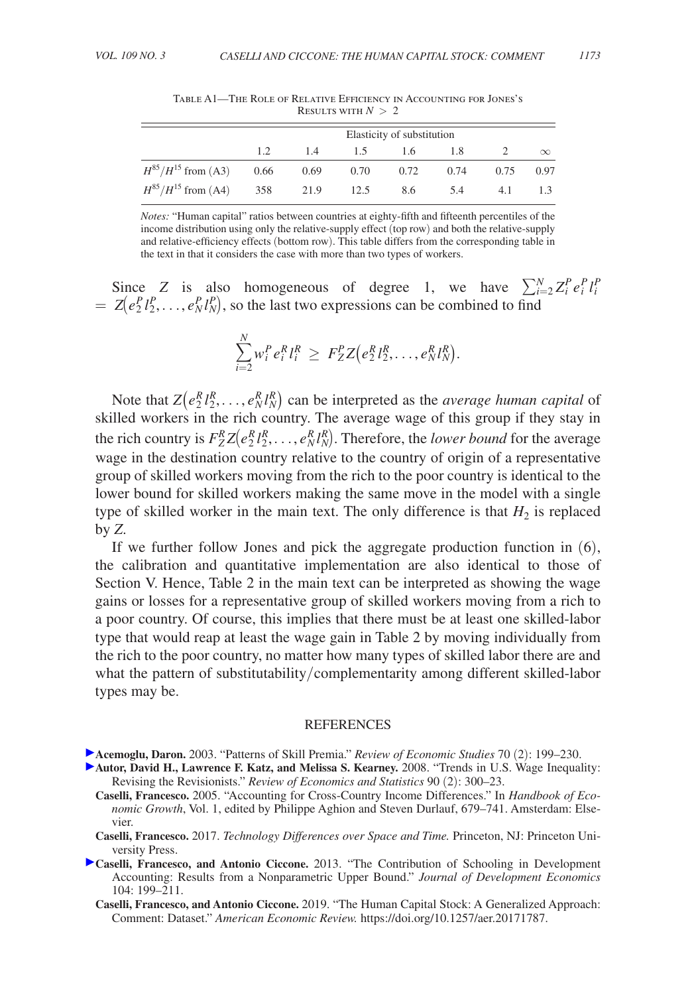<span id="page-18-0"></span>

| IVESUE IS WHILE $\mathcal{I} \geq \mathcal{I}$ |                            |      |      |      |      |      |          |  |
|------------------------------------------------|----------------------------|------|------|------|------|------|----------|--|
|                                                | Elasticity of substitution |      |      |      |      |      |          |  |
|                                                | $1.2^{\circ}$              | 1.4  | 1.5  | 1.6  | 1.8  |      | $\infty$ |  |
| $H^{85}/H^{15}$ from (A3)                      | 0.66                       | 0.69 | 0.70 | 0.72 | 0.74 | 0.75 | 0.97     |  |
| $H^{85}/H^{15}$ from (A4)                      | 358 21.9                   |      | 12.5 | 8.6  | 5.4  | 4.1  |          |  |

Table A1—The Role of Relative Efficiency in Accounting for Jones's Result To With  $N \sim 2$ 

*Notes:* "Human capital" ratios between countries at eighty-fifth and fifteenth percentiles of the income distribution using only the relative-supply effect (top row) and both the relative-supply and relative-efficiency effects (bottom row). This table differs from the corresponding table in the text in that it considers the case with more than two types of workers.

Since *Z* is also homogeneous of degree 1, we have  $\sum_{i=2}^{N} Z_i^P e_i^P l_i^P$  $Z = Z(e_2^P l_2^P, \ldots, e_N^P l_N^P)$ , so the last two expressions can be combined to find

$$
\textstyle \sum\limits_{i=2}^N w_i^P\,e_i^R\,l_i^R\;\geq \;F_Z^PZ\big(e_2^R\,l_2^R,\ldots,e_N^R\,l_N^R\big).
$$

Note that  $Z(e_2^R l_2^R, \ldots, e_N^R l_N^R)$  can be interpreted as the *average human capital* of skilled workers in the rich country. The average wage of this group if they stay in the rich country is  $F_Z^R Z(e_2^R l_2^R, \ldots, e_N^R l_N^R)$ . Therefore, the *lower bound* for the average wage in the destination country relative to the country of origin of a representative group of skilled workers moving from the rich to the poor country is identical to the lower bound for skilled workers making the same move in the model with a single type of skilled worker in the main text. The only difference is that  $H_2$  is replaced by *Z*.

If we further follow Jones and pick the aggregate production function in  $(6)$ , the calibration and quantitative implementation are also identical to those of Section V. Hence, Table 2 in the main text can be interpreted as showing the wage gains or losses for a representative group of skilled workers moving from a rich to a poor country. Of course, this implies that there must be at least one skilled-labor type that would reap at least the wage gain in Table 2 by moving individually from the rich to the poor country, no matter how many types of skilled labor there are and what the pattern of substitutability/complementarity among different skilled-labor types may be.

#### REFERENCES

**Acemoglu, Daron.** 2003. "Patterns of Skill Premia." *Review of Economic Studies* 70 (2): 199–230.

- **Autor, David H., Lawrence F. Katz, and Melissa S. Kearney.** 2008. "Trends in U.S. Wage Inequality: Revising the Revisionists." *Review of Economics and Statistics* 90 (2): 300–23.
	- **Caselli, Francesco.** 2005. "Accounting for Cross-Country Income Differences." In *Handbook of Economic Growth*, Vol. 1, edited by Philippe Aghion and Steven Durlauf, 679–741. Amsterdam: Elsevier.
	- **Caselli, Francesco.** 2017. *Technology Differences over Space and Time.* Princeton, NJ: Princeton University Press.
- **Caselli, Francesco, and Antonio Ciccone.** 2013. "The Contribution of Schooling in Development Accounting: Results from a Nonparametric Upper Bound." *Journal of Development Economics*  104: 199–211.
	- **Caselli, Francesco, and Antonio Ciccone.** 2019. "The Human Capital Stock: A Generalized Approach: Comment: Dataset." *American Economic Review.*<https://doi.org/10.1257/aer.20171787.>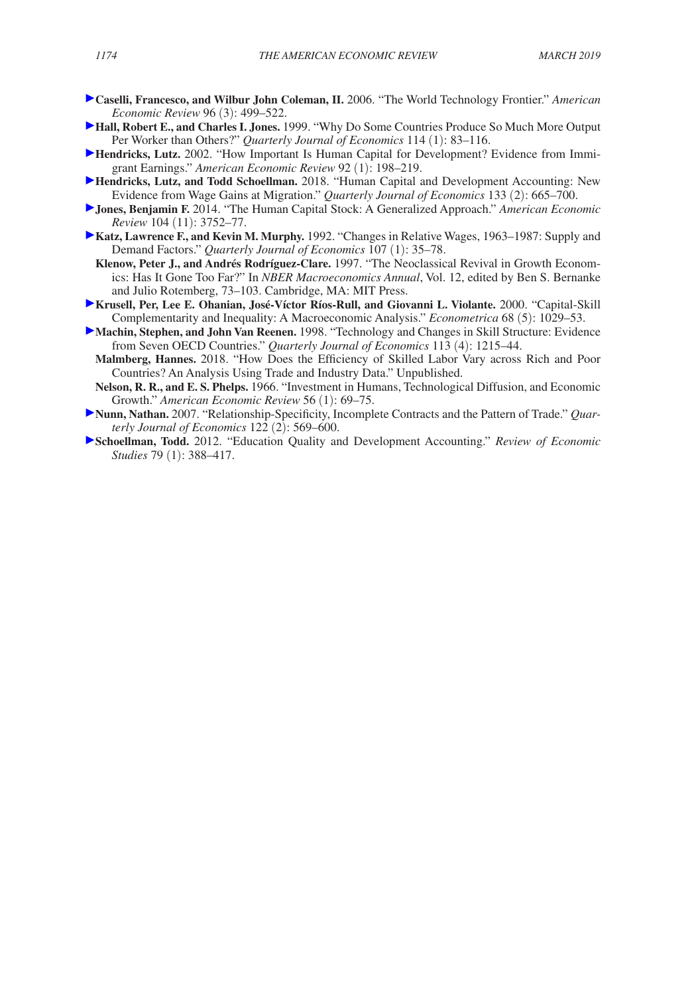- **Caselli, Francesco, and Wilbur John Coleman, II. 2006. "The World Technology Frontier."** *American Economic Review* 96 (3): 499–522.
- **Hall, Robert E., and Charles I. Jones.** 1999. "Why Do Some Countries Produce So Much More Output Per Worker than Others?" *Quarterly Journal of Economics* 114 (1): 83–116.
- **Hendricks, Lutz.** 2002. "How Important Is Human Capital for Development? Evidence from Immigrant Earnings." *American Economic Review* 92 (1): 198–219.
- **Hendricks, Lutz, and Todd Schoellman.** 2018. "Human Capital and Development Accounting: New Evidence from Wage Gains at Migration." *Quarterly Journal of Economics* 133 (2): 665–700.
- **Jones, Benjamin F.** 2014. "The Human Capital Stock: A Generalized Approach." *American Economic Review* 104 (11): 3752–77.
- **Katz, Lawrence F., and Kevin M. Murphy.** 1992. "Changes in Relative Wages, 1963–1987: Supply and Demand Factors." *Quarterly Journal of Economics* 107 (1): 35–78.
- **Klenow, Peter J., and Andrés Rodríguez-Clare.** 1997. "The Neoclassical Revival in Growth Economics: Has It Gone Too Far?" In *NBER Macroeconomics Annual*, Vol. 12, edited by Ben S. Bernanke and Julio Rotemberg, 73–103. Cambridge, MA: MIT Press.
- **Krusell, Per, Lee E. Ohanian, José-Víctor Ríos-Rull, and Giovanni L. Violante.** 2000. "Capital-Skill Complementarity and Inequality: A Macroeconomic Analysis." *Econometrica* 68 (5): 1029–53.
- **Machin, Stephen, and John Van Reenen.** 1998. "Technology and Changes in Skill Structure: Evidence from Seven OECD Countries." *Quarterly Journal of Economics* 113 (4): 1215–44.
- **Malmberg, Hannes.** 2018. "How Does the Efficiency of Skilled Labor Vary across Rich and Poor Countries? An Analysis Using Trade and Industry Data." Unpublished.
- **Nelson, R. R., and E. S. Phelps.** 1966. "Investment in Humans, Technological Diffusion, and Economic Growth." *American Economic Review* 56 (1): 69–75.
- **Nunn, Nathan.** 2007. "Relationship-Specificity, Incomplete Contracts and the Pattern of Trade." *Quarterly Journal of Economics* 122 (2): 569–600.
- **Schoellman, Todd.** 2012. "Education Quality and Development Accounting." *Review of Economic Studies* 79 (1): 388–417.